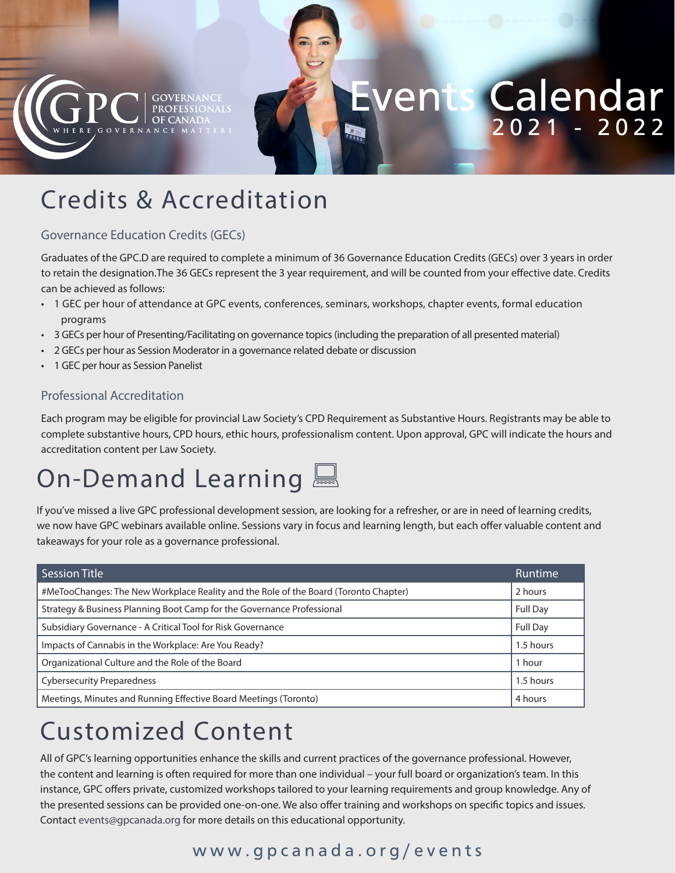

# Events Calendar 2021 - 2022

## Credits & Accreditation

#### Governance Education Credits (GECs)

Graduates of the GPC.D are required to complete a minimum of 36 Governance Education Credits (GECs) over 3 years in order to retain the designation.The 36 GECs represent the 3 year requirement, and will be counted from your effective date. Credits can be achieved as follows:

- 1 GEC per hour of attendance at GPC events, conferences, seminars, workshops, chapter events, formal education programs
- 3 GECs per hour of Presenting/Facilitating on governance topics (including the preparation of all presented material)
- 2 GECs per hour as Session Moderator in a governance related debate or discussion
- 1 GEC per hour as Session Panelist

#### Professional Accreditation

Each program may be eligible for provincial Law Society's CPD Requirement as Substantive Hours. Registrants may be able to complete substantive hours, CPD hours, ethic hours, professionalism content. Upon approval, GPC will indicate the hours and accreditation content per Law Society.

## On-Demand Learning

If you've missed a live GPC professional development session, are looking for a refresher, or are in need of learning credits, we now have GPC webinars available online. Sessions vary in focus and learning length, but each offer valuable content and takeaways for your role as a governance professional.

| <b>Session Title</b>                                                                 | Runtime         |
|--------------------------------------------------------------------------------------|-----------------|
| #MeTooChanges: The New Workplace Reality and the Role of the Board (Toronto Chapter) | 2 hours         |
| Strategy & Business Planning Boot Camp for the Governance Professional               | <b>Full Day</b> |
| Subsidiary Governance - A Critical Tool for Risk Governance                          | <b>Full Day</b> |
| Impacts of Cannabis in the Workplace: Are You Ready?                                 | 1.5 hours       |
| Organizational Culture and the Role of the Board                                     | 1 hour          |
| <b>Cybersecurity Preparedness</b>                                                    | 1.5 hours       |
| Meetings, Minutes and Running Effective Board Meetings (Toronto)                     | 4 hours         |

## Customized Content

All of GPC's learning opportunities enhance the skills and current practices of the governance professional. However, the content and learning is often required for more than one individual – your full board or organization's team. In this instance, GPC offers private, customized workshops tailored to your learning requirements and group knowledge. Any of the presented sessions can be provided one-on-one. We also offer training and workshops on specific topics and issues. Contact events@gpcanada.org for more details on this educational opportunity.

#### www.gpcanada.org/events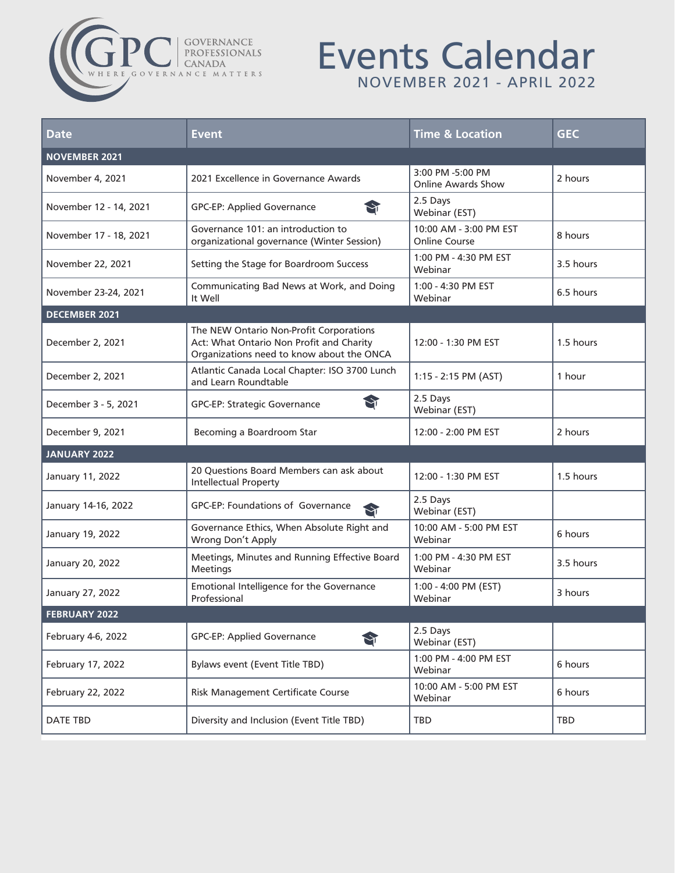# COVERNANCE

### Events Calendar NOVEMBER 2021 - APRIL 2022

| <b>Date</b>            | <b>Event</b>                                                                                                                     | <b>Time &amp; Location</b>                     | <b>GEC</b> |
|------------------------|----------------------------------------------------------------------------------------------------------------------------------|------------------------------------------------|------------|
| <b>NOVEMBER 2021</b>   |                                                                                                                                  |                                                |            |
| November 4, 2021       | 2021 Excellence in Governance Awards                                                                                             | 3:00 PM -5:00 PM<br><b>Online Awards Show</b>  | 2 hours    |
| November 12 - 14, 2021 | M<br><b>GPC-EP: Applied Governance</b>                                                                                           | 2.5 Days<br>Webinar (EST)                      |            |
| November 17 - 18, 2021 | Governance 101: an introduction to<br>organizational governance (Winter Session)                                                 | 10:00 AM - 3:00 PM EST<br><b>Online Course</b> | 8 hours    |
| November 22, 2021      | Setting the Stage for Boardroom Success                                                                                          | 1:00 PM - 4:30 PM EST<br>Webinar               | 3.5 hours  |
| November 23-24, 2021   | Communicating Bad News at Work, and Doing<br>It Well                                                                             | 1:00 - 4:30 PM EST<br>Webinar                  | 6.5 hours  |
| <b>DECEMBER 2021</b>   |                                                                                                                                  |                                                |            |
| December 2, 2021       | The NEW Ontario Non-Profit Corporations<br>Act: What Ontario Non Profit and Charity<br>Organizations need to know about the ONCA | 12:00 - 1:30 PM EST                            | 1.5 hours  |
| December 2, 2021       | Atlantic Canada Local Chapter: ISO 3700 Lunch<br>and Learn Roundtable                                                            | 1:15 - 2:15 PM (AST)                           | 1 hour     |
| December 3 - 5, 2021   | S<br>GPC-EP: Strategic Governance                                                                                                | 2.5 Days<br>Webinar (EST)                      |            |
| December 9, 2021       | Becoming a Boardroom Star                                                                                                        | 12:00 - 2:00 PM EST                            | 2 hours    |
| <b>JANUARY 2022</b>    |                                                                                                                                  |                                                |            |
| January 11, 2022       | 20 Questions Board Members can ask about<br><b>Intellectual Property</b>                                                         | 12:00 - 1:30 PM EST                            | 1.5 hours  |
| January 14-16, 2022    | GPC-EP: Foundations of Governance<br>Sì                                                                                          | 2.5 Days<br>Webinar (EST)                      |            |
| January 19, 2022       | Governance Ethics, When Absolute Right and<br>Wrong Don't Apply                                                                  | 10:00 AM - 5:00 PM EST<br>Webinar              | 6 hours    |
| January 20, 2022       | Meetings, Minutes and Running Effective Board<br><b>Meetings</b>                                                                 | 1:00 PM - 4:30 PM EST<br>Webinar               | 3.5 hours  |
| January 27, 2022       | Emotional Intelligence for the Governance<br>Professional                                                                        | 1:00 - 4:00 PM (EST)<br>Webinar                | 3 hours    |
| <b>FEBRUARY 2022</b>   |                                                                                                                                  |                                                |            |
| February 4-6, 2022     | <b>GPC-EP: Applied Governance</b><br>S                                                                                           | 2.5 Days<br>Webinar (EST)                      |            |
| February 17, 2022      | <b>Bylaws event (Event Title TBD)</b>                                                                                            | 1:00 PM - 4:00 PM EST<br>Webinar               | 6 hours    |
| February 22, 2022      | <b>Risk Management Certificate Course</b>                                                                                        | 10:00 AM - 5:00 PM EST<br>Webinar              | 6 hours    |
| DATE TBD               | Diversity and Inclusion (Event Title TBD)                                                                                        | TBD                                            | TBD        |